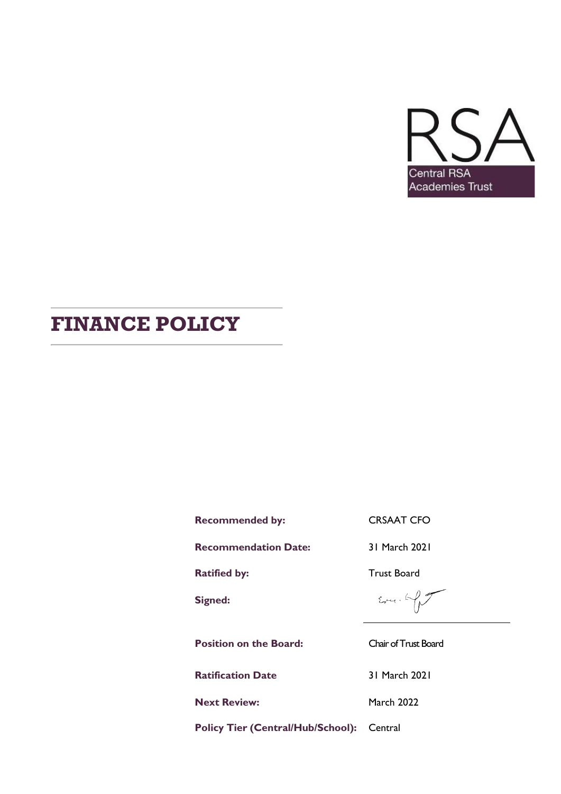

# **FINANCE POLICY**

**Recommended by:** CRSAAT CFO

**Recommendation Date:** 31 March 2021

**Ratified by:** Trust Board

**Signed:**

**Position on the Board:** Chair of Trust Board

**Ratification Date** 31 March 2021

**Next Review:** March 2022

 $E_{\text{pert}}$ . by

**Policy Tier (Central/Hub/School):** Central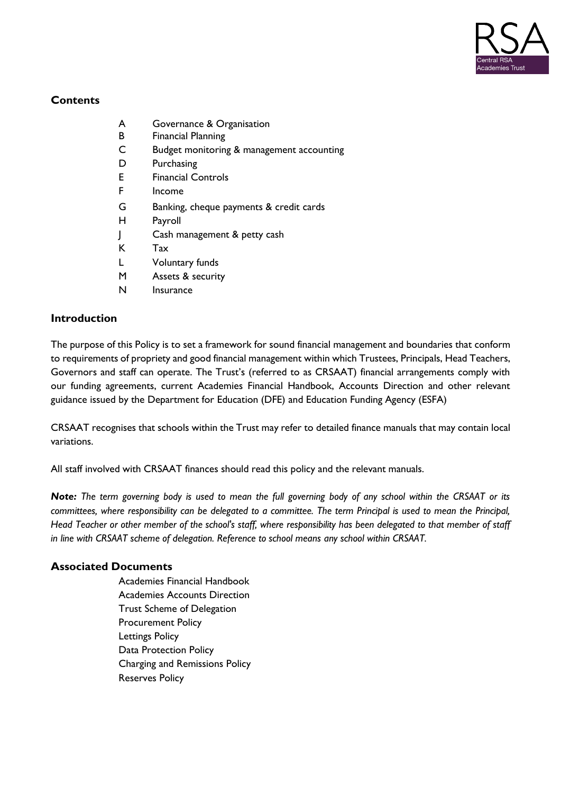

# **Contents**

- A Governance & Organisation
- B Financial Planning
- C Budget monitoring & management accounting
- D Purchasing
- E Financial Controls
- F Income
- G Banking, cheque payments & credit cards
- H Payroll
- J Cash management & petty cash
- K Tax
- L Voluntary funds
- M Assets & security
- N Insurance

## **Introduction**

The purpose of this Policy is to set a framework for sound financial management and boundaries that conform to requirements of propriety and good financial management within which Trustees, Principals, Head Teachers, Governors and staff can operate. The Trust's (referred to as CRSAAT) financial arrangements comply with our funding agreements, current Academies Financial Handbook, Accounts Direction and other relevant guidance issued by the Department for Education (DFE) and Education Funding Agency (ESFA)

CRSAAT recognises that schools within the Trust may refer to detailed finance manuals that may contain local variations.

All staff involved with CRSAAT finances should read this policy and the relevant manuals.

*Note: The term governing body is used to mean the full governing body of any school within the CRSAAT or its committees, where responsibility can be delegated to a committee. The term Principal is used to mean the Principal, Head Teacher or other member of the school's staff, where responsibility has been delegated to that member of staff in line with CRSAAT scheme of delegation. Reference to school means any school within CRSAAT.*

## **Associated Documents**

Academies Financial Handbook Academies Accounts Direction Trust Scheme of Delegation Procurement Policy Lettings Policy Data Protection Policy Charging and Remissions Policy Reserves Policy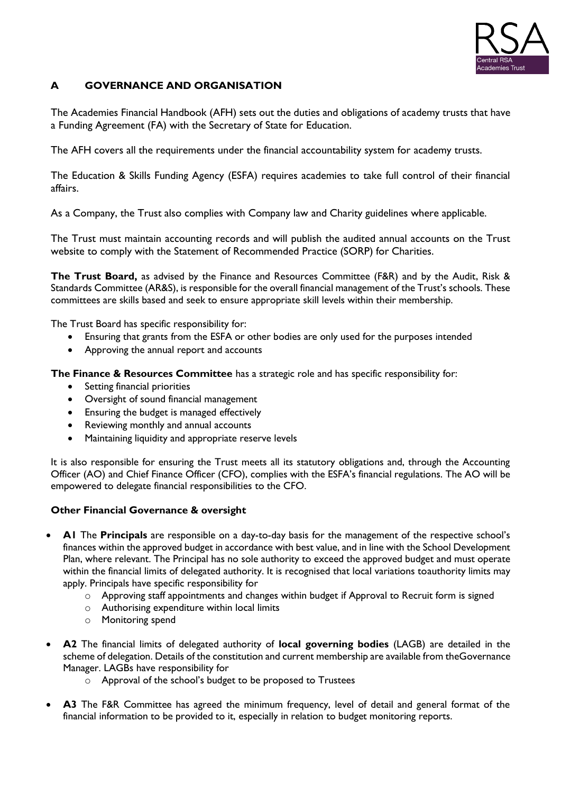

## **A GOVERNANCE AND ORGANISATION**

The Academies Financial Handbook (AFH) sets out the duties and obligations of academy trusts that have a Funding Agreement (FA) with the Secretary of State for Education.

The AFH covers all the requirements under the financial accountability system for academy trusts.

The Education & Skills Funding Agency (ESFA) requires academies to take full control of their financial affairs.

As a Company, the Trust also complies with Company law and Charity guidelines where applicable.

The Trust must maintain accounting records and will publish the audited annual accounts on the Trust website to comply with the Statement of Recommended Practice (SORP) for Charities.

**The Trust Board,** as advised by the Finance and Resources Committee (F&R) and by the Audit, Risk & Standards Committee (AR&S), is responsible for the overall financial management of the Trust's schools. These committees are skills based and seek to ensure appropriate skill levels within their membership.

The Trust Board has specific responsibility for:

- Ensuring that grants from the ESFA or other bodies are only used for the purposes intended
- Approving the annual report and accounts

**The Finance & Resources Committee** has a strategic role and has specific responsibility for:

- Setting financial priorities
- Oversight of sound financial management
- Ensuring the budget is managed effectively
- Reviewing monthly and annual accounts
- Maintaining liquidity and appropriate reserve levels

It is also responsible for ensuring the Trust meets all its statutory obligations and, through the Accounting Officer (AO) and Chief Finance Officer (CFO), complies with the ESFA's financial regulations. The AO will be empowered to delegate financial responsibilities to the CFO.

#### **Other Financial Governance & oversight**

- **A1** The **Principals** are responsible on a day-to-day basis for the management of the respective school's finances within the approved budget in accordance with best value, and in line with the School Development Plan, where relevant. The Principal has no sole authority to exceed the approved budget and must operate within the financial limits of delegated authority. It is recognised that local variations toauthority limits may apply. Principals have specific responsibility for
	- o Approving staff appointments and changes within budget if Approval to Recruit form is signed
	- o Authorising expenditure within local limits
	- o Monitoring spend
- **A2** The financial limits of delegated authority of **local governing bodies** (LAGB) are detailed in the scheme of delegation. Details of the constitution and current membership are available from theGovernance Manager. LAGBs have responsibility for
	- o Approval of the school's budget to be proposed to Trustees
- **A3** The F&R Committee has agreed the minimum frequency, level of detail and general format of the financial information to be provided to it, especially in relation to budget monitoring reports.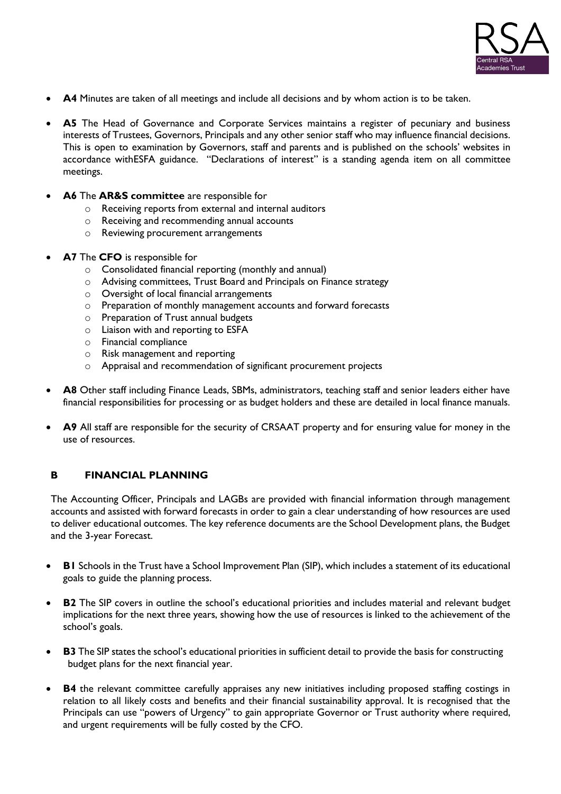

- **A4** Minutes are taken of all meetings and include all decisions and by whom action is to be taken.
- A5 The Head of Governance and Corporate Services maintains a register of pecuniary and business interests of Trustees, Governors, Principals and any other senior staff who may influence financial decisions. This is open to examination by Governors, staff and parents and is published on the schools' websites in accordance withESFA guidance. "Declarations of interest" is a standing agenda item on all committee meetings.
- **A6** The **AR&S committee** are responsible for
	- o Receiving reports from external and internal auditors
	- o Receiving and recommending annual accounts
	- o Reviewing procurement arrangements
- **A7** The **CFO** is responsible for
	- o Consolidated financial reporting (monthly and annual)
	- o Advising committees, Trust Board and Principals on Finance strategy
	- o Oversight of local financial arrangements
	- o Preparation of monthly management accounts and forward forecasts
	- o Preparation of Trust annual budgets
	- o Liaison with and reporting to ESFA
	- o Financial compliance
	- o Risk management and reporting
	- o Appraisal and recommendation of significant procurement projects
- A8 Other staff including Finance Leads, SBMs, administrators, teaching staff and senior leaders either have financial responsibilities for processing or as budget holders and these are detailed in local finance manuals.
- **A9** All staff are responsible for the security of CRSAAT property and for ensuring value for money in the use of resources.

#### **B FINANCIAL PLANNING**

The Accounting Officer, Principals and LAGBs are provided with financial information through management accounts and assisted with forward forecasts in order to gain a clear understanding of how resources are used to deliver educational outcomes. The key reference documents are the School Development plans, the Budget and the 3-year Forecast.

- **B1** Schools in the Trust have a School Improvement Plan (SIP), which includes a statement of its educational goals to guide the planning process.
- **B2** The SIP covers in outline the school's educational priorities and includes material and relevant budget implications for the next three years, showing how the use of resources is linked to the achievement of the school's goals.
- **B3** The SIP states the school's educational priorities in sufficient detail to provide the basis for constructing budget plans for the next financial year.
- **B4** the relevant committee carefully appraises any new initiatives including proposed staffing costings in relation to all likely costs and benefits and their financial sustainability approval. It is recognised that the Principals can use "powers of Urgency" to gain appropriate Governor or Trust authority where required, and urgent requirements will be fully costed by the CFO.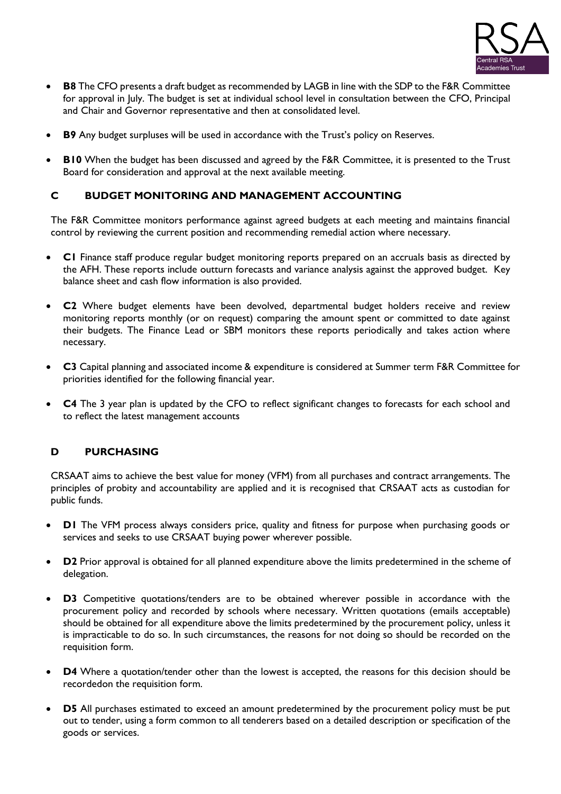

- **B8** The CFO presents a draft budget as recommended by LAGB in line with the SDP to the F&R Committee for approval in July. The budget is set at individual school level in consultation between the CFO, Principal and Chair and Governor representative and then at consolidated level.
- **B9** Any budget surpluses will be used in accordance with the Trust's policy on Reserves.
- **B10** When the budget has been discussed and agreed by the F&R Committee, it is presented to the Trust Board for consideration and approval at the next available meeting.

#### **C BUDGET MONITORING AND MANAGEMENT ACCOUNTING**

The F&R Committee monitors performance against agreed budgets at each meeting and maintains financial control by reviewing the current position and recommending remedial action where necessary.

- **C1** Finance staff produce regular budget monitoring reports prepared on an accruals basis as directed by the AFH. These reports include outturn forecasts and variance analysis against the approved budget. Key balance sheet and cash flow information is also provided.
- **C2** Where budget elements have been devolved, departmental budget holders receive and review monitoring reports monthly (or on request) comparing the amount spent or committed to date against their budgets. The Finance Lead or SBM monitors these reports periodically and takes action where necessary.
- **C3** Capital planning and associated income & expenditure is considered at Summer term F&R Committee for priorities identified for the following financial year.
- **C4** The 3 year plan is updated by the CFO to reflect significant changes to forecasts for each school and to reflect the latest management accounts

#### **D PURCHASING**

CRSAAT aims to achieve the best value for money (VFM) from all purchases and contract arrangements. The principles of probity and accountability are applied and it is recognised that CRSAAT acts as custodian for public funds.

- **D1** The VFM process always considers price, quality and fitness for purpose when purchasing goods or services and seeks to use CRSAAT buying power wherever possible.
- **D2** Prior approval is obtained for all planned expenditure above the limits predetermined in the scheme of delegation.
- **D3** Competitive quotations/tenders are to be obtained wherever possible in accordance with the procurement policy and recorded by schools where necessary. Written quotations (emails acceptable) should be obtained for all expenditure above the limits predetermined by the procurement policy, unless it is impracticable to do so. In such circumstances, the reasons for not doing so should be recorded on the requisition form.
- **D4** Where a quotation/tender other than the lowest is accepted, the reasons for this decision should be recordedon the requisition form.
- **D5** All purchases estimated to exceed an amount predetermined by the procurement policy must be put out to tender, using a form common to all tenderers based on a detailed description or specification of the goods or services.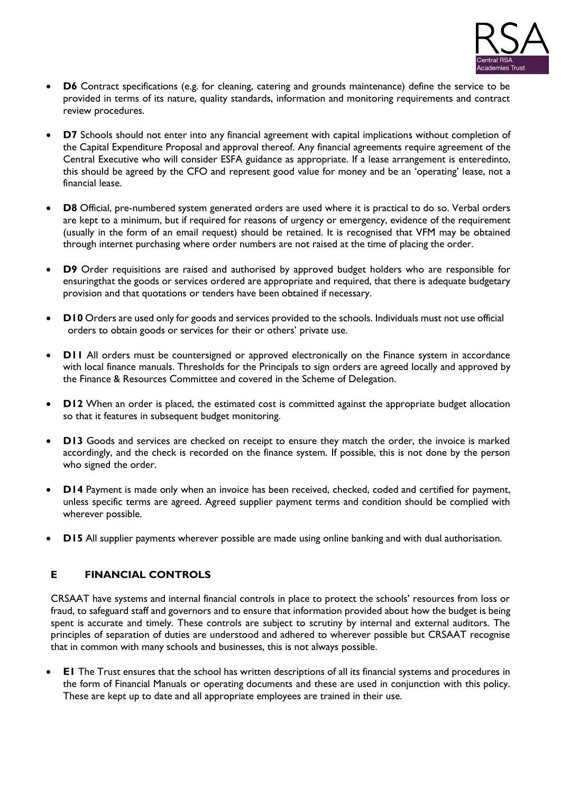

- **D6** Contract specifications (e.g. for cleaning, catering and grounds maintenance) define the service to be provided in terms of its nature, quality standards, information and monitoring requirements and contract review procedures.
- **D7** Schools should not enter into any financial agreement with capital implications without completion of the Capital Expenditure Proposal and approval thereof. Any financial agreements require agreement of the Central Executive who will consider ESFA guidance as appropriate. If a lease arrangement is enteredinto, this should be agreed by the CFO and represent good value for money and be an 'operating' lease, not a financial lease.
- **D8** Official, pre-numbered system generated orders are used where it is practical to do so. Verbal orders are kept to a minimum, but if required for reasons of urgency or emergency, evidence of the requirement (usually in the form of an email request) should be retained. It is recognised that VFM may be obtained through internet purchasing where order numbers are not raised at the time of placing the order.
- **D9** Order requisitions are raised and authorised by approved budget holders who are responsible for ensuringthat the goods or services ordered are appropriate and required, that there is adequate budgetary provision and that quotations or tenders have been obtained if necessary.
- **D10** Orders are used only for goods and services provided to the schools. Individuals must not use official orders to obtain goods or services for their or others' private use.
- **D11** All orders must be countersigned or approved electronically on the Finance system in accordance with local finance manuals. Thresholds for the Principals to sign orders are agreed locally and approved by the Finance & Resources Committee and covered in the Scheme of Delegation.
- **D12** When an order is placed, the estimated cost is committed against the appropriate budget allocation so that it features in subsequent budget monitoring.
- **D13** Goods and services are checked on receipt to ensure they match the order, the invoice is marked accordingly, and the check is recorded on the finance system. If possible, this is not done by the person who signed the order.
- **D14** Payment is made only when an invoice has been received, checked, coded and certified for payment, unless specific terms are agreed. Agreed supplier payment terms and condition should be complied with wherever possible.
- **D15** All supplier payments wherever possible are made using online banking and with dual authorisation.

#### **E FINANCIAL CONTROLS**

CRSAAT have systems and internal financial controls in place to protect the schools' resources from loss or fraud, to safeguard staff and governors and to ensure that information provided about how the budget is being spent is accurate and timely. These controls are subject to scrutiny by internal and external auditors. The principles of separation of duties are understood and adhered to wherever possible but CRSAAT recognise that in common with many schools and businesses, this is not always possible.

• **E1** The Trust ensures that the school has written descriptions of all its financial systems and procedures in the form of Financial Manuals or operating documents and these are used in conjunction with this policy. These are kept up to date and all appropriate employees are trained in their use.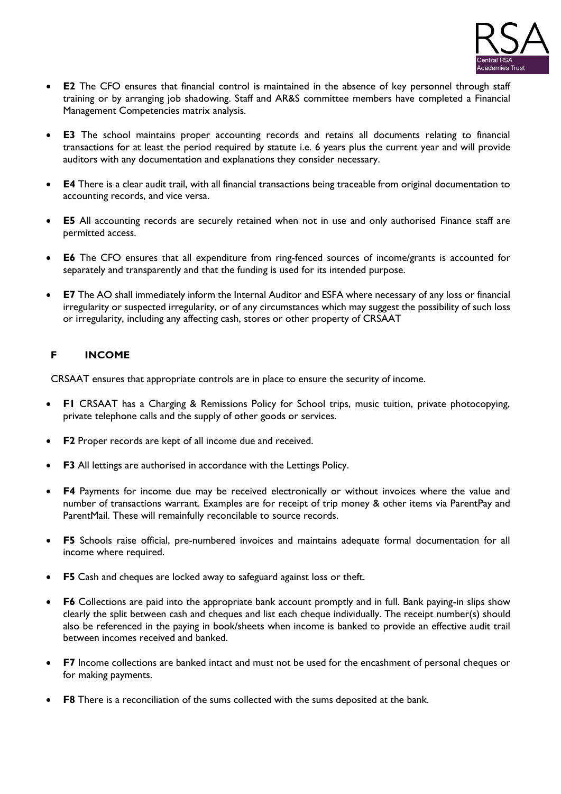

- **E2** The CFO ensures that financial control is maintained in the absence of key personnel through staff training or by arranging job shadowing. Staff and AR&S committee members have completed a Financial Management Competencies matrix analysis.
- **E3** The school maintains proper accounting records and retains all documents relating to financial transactions for at least the period required by statute i.e. 6 years plus the current year and will provide auditors with any documentation and explanations they consider necessary.
- **E4** There is a clear audit trail, with all financial transactions being traceable from original documentation to accounting records, and vice versa.
- **E5** All accounting records are securely retained when not in use and only authorised Finance staff are permitted access.
- **E6** The CFO ensures that all expenditure from ring-fenced sources of income/grants is accounted for separately and transparently and that the funding is used for its intended purpose.
- **E7** The AO shall immediately inform the Internal Auditor and ESFA where necessary of any loss or financial irregularity or suspected irregularity, or of any circumstances which may suggest the possibility of such loss or irregularity, including any affecting cash, stores or other property of CRSAAT

## **F INCOME**

CRSAAT ensures that appropriate controls are in place to ensure the security of income.

- **F1** CRSAAT has a Charging & Remissions Policy for School trips, music tuition, private photocopying, private telephone calls and the supply of other goods or services.
- **F2** Proper records are kept of all income due and received.
- **F3** All lettings are authorised in accordance with the Lettings Policy.
- **F4** Payments for income due may be received electronically or without invoices where the value and number of transactions warrant. Examples are for receipt of trip money & other items via ParentPay and ParentMail. These will remainfully reconcilable to source records.
- **F5** Schools raise official, pre-numbered invoices and maintains adequate formal documentation for all income where required.
- **F5** Cash and cheques are locked away to safeguard against loss or theft.
- **F6** Collections are paid into the appropriate bank account promptly and in full. Bank paying-in slips show clearly the split between cash and cheques and list each cheque individually. The receipt number(s) should also be referenced in the paying in book/sheets when income is banked to provide an effective audit trail between incomes received and banked.
- **F7** Income collections are banked intact and must not be used for the encashment of personal cheques or for making payments.
- **F8** There is a reconciliation of the sums collected with the sums deposited at the bank.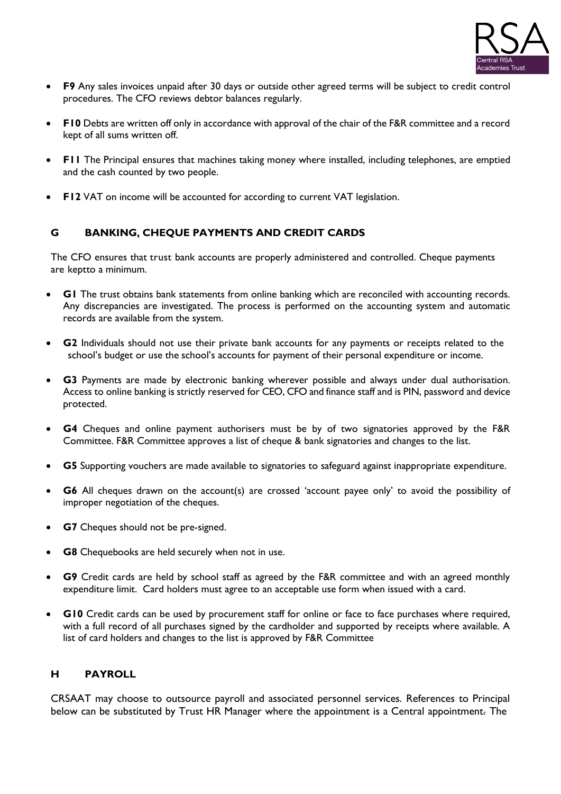

- **F9** Any sales invoices unpaid after 30 days or outside other agreed terms will be subject to credit control procedures. The CFO reviews debtor balances regularly.
- **F10** Debts are written off only in accordance with approval of the chair of the F&R committee and a record kept of all sums written off.
- **F11** The Principal ensures that machines taking money where installed, including telephones, are emptied and the cash counted by two people.
- **F12** VAT on income will be accounted for according to current VAT legislation.

## **G BANKING, CHEQUE PAYMENTS AND CREDIT CARDS**

The CFO ensures that trust bank accounts are properly administered and controlled. Cheque payments are keptto a minimum.

- **G1** The trust obtains bank statements from online banking which are reconciled with accounting records. Any discrepancies are investigated. The process is performed on the accounting system and automatic records are available from the system.
- **G2** Individuals should not use their private bank accounts for any payments or receipts related to the school's budget or use the school's accounts for payment of their personal expenditure or income.
- **G3** Payments are made by electronic banking wherever possible and always under dual authorisation. Access to online banking is strictly reserved for CEO, CFO and finance staff and is PIN, password and device protected.
- **G4** Cheques and online payment authorisers must be by of two signatories approved by the F&R Committee. F&R Committee approves a list of cheque & bank signatories and changes to the list.
- **G5** Supporting vouchers are made available to signatories to safeguard against inappropriate expenditure.
- **G6** All cheques drawn on the account(s) are crossed 'account payee only' to avoid the possibility of improper negotiation of the cheques.
- **G7** Cheques should not be pre-signed.
- **G8** Chequebooks are held securely when not in use.
- **G9** Credit cards are held by school staff as agreed by the F&R committee and with an agreed monthly expenditure limit. Card holders must agree to an acceptable use form when issued with a card.
- **G10** Credit cards can be used by procurement staff for online or face to face purchases where required, with a full record of all purchases signed by the cardholder and supported by receipts where available. A list of card holders and changes to the list is approved by F&R Committee

#### **H PAYROLL**

CRSAAT may choose to outsource payroll and associated personnel services. References to Principal below can be substituted by Trust HR Manager where the appointment is a Central appointment. The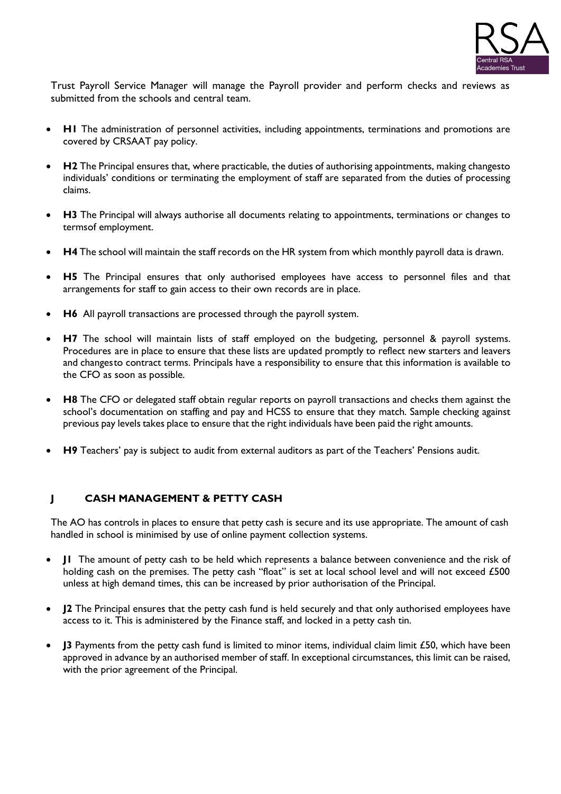

Trust Payroll Service Manager will manage the Payroll provider and perform checks and reviews as submitted from the schools and central team.

- **H1** The administration of personnel activities, including appointments, terminations and promotions are covered by CRSAAT pay policy.
- **H2** The Principal ensures that, where practicable, the duties of authorising appointments, making changesto individuals' conditions or terminating the employment of staff are separated from the duties of processing claims.
- **H3** The Principal will always authorise all documents relating to appointments, terminations or changes to termsof employment.
- **H4** The school will maintain the staff records on the HR system from which monthly payroll data is drawn.
- **H5** The Principal ensures that only authorised employees have access to personnel files and that arrangements for staff to gain access to their own records are in place.
- **H6** All payroll transactions are processed through the payroll system.
- **H7** The school will maintain lists of staff employed on the budgeting, personnel & payroll systems. Procedures are in place to ensure that these lists are updated promptly to reflect new starters and leavers and changes to contract terms. Principals have a responsibility to ensure that this information is available to the CFO as soon as possible.
- **H8** The CFO or delegated staff obtain regular reports on payroll transactions and checks them against the school's documentation on staffing and pay and HCSS to ensure that they match. Sample checking against previous pay levels takes place to ensure that the right individuals have been paid the right amounts.
- **H9** Teachers' pay is subject to audit from external auditors as part of the Teachers' Pensions audit.

#### **J CASH MANAGEMENT & PETTY CASH**

The AO has controls in places to ensure that petty cash is secure and its use appropriate. The amount of cash handled in school is minimised by use of online payment collection systems.

- **J1** The amount of petty cash to be held which represents a balance between convenience and the risk of holding cash on the premises. The petty cash "float" is set at local school level and will not exceed £500 unless at high demand times, this can be increased by prior authorisation of the Principal.
- **J2** The Principal ensures that the petty cash fund is held securely and that only authorised employees have access to it. This is administered by the Finance staff, and locked in a petty cash tin.
- **J3** Payments from the petty cash fund is limited to minor items, individual claim limit £50, which have been approved in advance by an authorised member of staff. In exceptional circumstances, this limit can be raised, with the prior agreement of the Principal.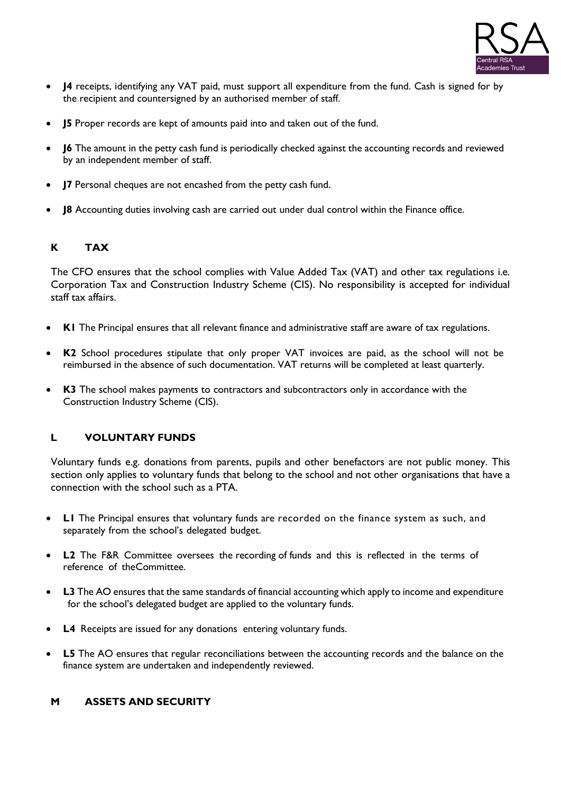

- **J4** receipts, identifying any VAT paid, must support all expenditure from the fund. Cash is signed for by the recipient and countersigned by an authorised member of staff.
- **J5** Proper records are kept of amounts paid into and taken out of the fund.
- **J6** The amount in the petty cash fund is periodically checked against the accounting records and reviewed by an independent member of staff.
- **J7** Personal cheques are not encashed from the petty cash fund.
- **J8** Accounting duties involving cash are carried out under dual control within the Finance office.

# **K TAX**

The CFO ensures that the school complies with Value Added Tax (VAT) and other tax regulations i.e. Corporation Tax and Construction Industry Scheme (CIS). No responsibility is accepted for individual staff tax affairs.

- **K1** The Principal ensures that all relevant finance and administrative staff are aware of tax regulations.
- **K2** School procedures stipulate that only proper VAT invoices are paid, as the school will not be reimbursed in the absence of such documentation. VAT returns will be completed at least quarterly.
- **K3** The school makes payments to contractors and subcontractors only in accordance with the Construction Industry Scheme (CIS).

#### **L VOLUNTARY FUNDS**

Voluntary funds e.g. donations from parents, pupils and other benefactors are not public money. This section only applies to voluntary funds that belong to the school and not other organisations that have a connection with the school such as a PTA.

- **L1** The Principal ensures that voluntary funds are recorded on the finance system as such, and separately from the school's delegated budget.
- **L2** The F&R Committee oversees the recording of funds and this is reflected in the terms of reference of theCommittee.
- **L3** The AO ensures that the same standards of financial accounting which apply to income and expenditure for the school's delegated budget are applied to the voluntary funds.
- **L4** Receipts are issued for any donations entering voluntary funds.
- **L5** The AO ensures that regular reconciliations between the accounting records and the balance on the finance system are undertaken and independently reviewed.

#### **M ASSETS AND SECURITY**